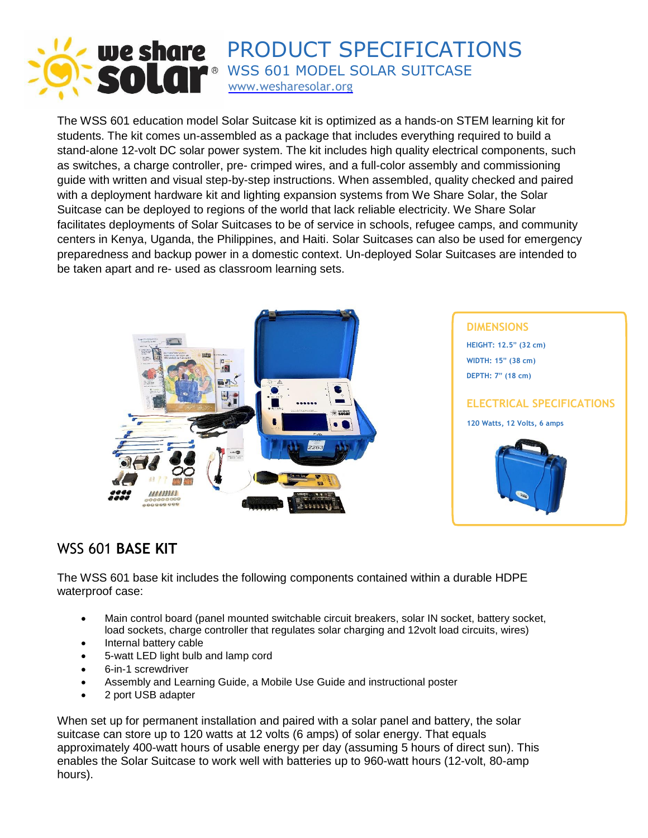

The WSS 601 education model Solar Suitcase kit is optimized as a hands-on STEM learning kit for students. The kit comes un-assembled as a package that includes everything required to build a stand-alone 12-volt DC solar power system. The kit includes high quality electrical components, such as switches, a charge controller, pre- crimped wires, and a full-color assembly and commissioning guide with written and visual step-by-step instructions. When assembled, quality checked and paired with a deployment hardware kit and lighting expansion systems from We Share Solar, the Solar Suitcase can be deployed to regions of the world that lack reliable electricity. We Share Solar facilitates deployments of Solar Suitcases to be of service in schools, refugee camps, and community centers in Kenya, Uganda, the Philippines, and Haiti. Solar Suitcases can also be used for emergency preparedness and backup power in a domestic context. Un-deployed Solar Suitcases are intended to be taken apart and re- used as classroom learning sets.



### WSS 601 **BASE KIT**

The WSS 601 base kit includes the following components contained within a durable HDPE waterproof case:

- Main control board (panel mounted switchable circuit breakers, solar IN socket, battery socket, load sockets, charge controller that regulates solar charging and 12volt load circuits, wires)
- Internal battery cable
- 5-watt LED light bulb and lamp cord
- 6-in-1 screwdriver
- Assembly and Learning Guide, a Mobile Use Guide and instructional poster
- 2 port USB adapter

When set up for permanent installation and paired with a solar panel and battery, the solar suitcase can store up to 120 watts at 12 volts (6 amps) of solar energy. That equals approximately 400-watt hours of usable energy per day (assuming 5 hours of direct sun). This enables the Solar Suitcase to work well with batteries up to 960-watt hours (12-volt, 80-amp hours).